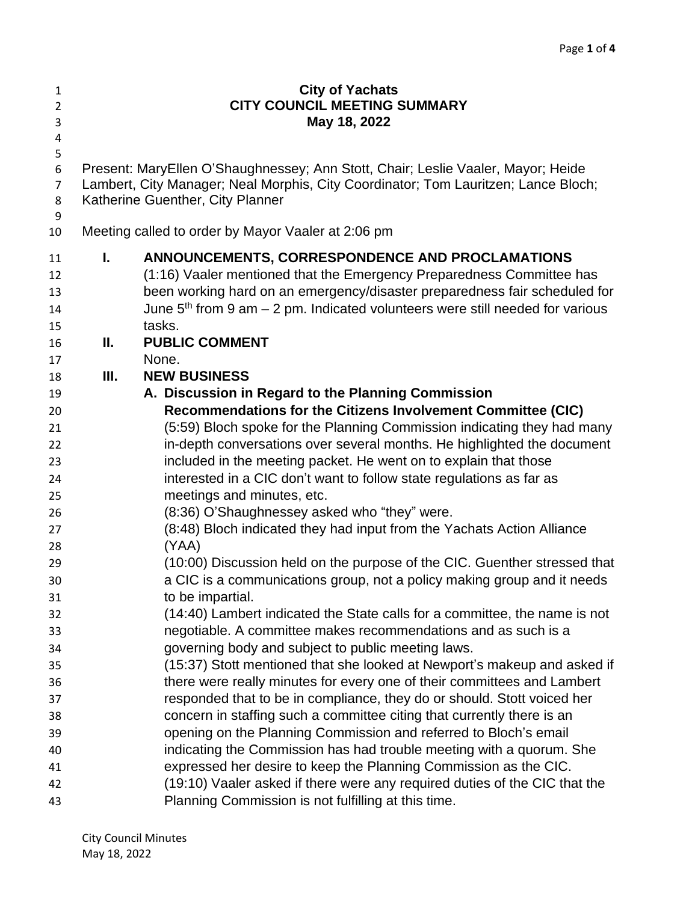| $\mathbf{1}$<br>$\overline{2}$     | <b>City of Yachats</b><br><b>CITY COUNCIL MEETING SUMMARY</b> |                                                                                                                                                                                                            |  |  |
|------------------------------------|---------------------------------------------------------------|------------------------------------------------------------------------------------------------------------------------------------------------------------------------------------------------------------|--|--|
| 3                                  | May 18, 2022                                                  |                                                                                                                                                                                                            |  |  |
| 4                                  |                                                               |                                                                                                                                                                                                            |  |  |
| 5<br>6<br>$\overline{7}$<br>8<br>9 |                                                               | Present: MaryEllen O'Shaughnessey; Ann Stott, Chair; Leslie Vaaler, Mayor; Heide<br>Lambert, City Manager; Neal Morphis, City Coordinator; Tom Lauritzen; Lance Bloch;<br>Katherine Guenther, City Planner |  |  |
| 10                                 |                                                               | Meeting called to order by Mayor Vaaler at 2:06 pm                                                                                                                                                         |  |  |
| 11                                 | I.                                                            | ANNOUNCEMENTS, CORRESPONDENCE AND PROCLAMATIONS                                                                                                                                                            |  |  |
| 12                                 |                                                               | (1:16) Vaaler mentioned that the Emergency Preparedness Committee has                                                                                                                                      |  |  |
| 13                                 |                                                               | been working hard on an emergency/disaster preparedness fair scheduled for                                                                                                                                 |  |  |
| 14                                 |                                                               | June $5th$ from 9 am $-$ 2 pm. Indicated volunteers were still needed for various                                                                                                                          |  |  |
| 15                                 |                                                               | tasks.                                                                                                                                                                                                     |  |  |
| 16                                 | Ш.                                                            | <b>PUBLIC COMMENT</b>                                                                                                                                                                                      |  |  |
| 17                                 |                                                               | None.                                                                                                                                                                                                      |  |  |
| 18                                 | Ш.                                                            | <b>NEW BUSINESS</b>                                                                                                                                                                                        |  |  |
| 19                                 |                                                               | A. Discussion in Regard to the Planning Commission                                                                                                                                                         |  |  |
| 20                                 |                                                               | Recommendations for the Citizens Involvement Committee (CIC)                                                                                                                                               |  |  |
| 21                                 |                                                               | (5:59) Bloch spoke for the Planning Commission indicating they had many                                                                                                                                    |  |  |
| 22                                 |                                                               | in-depth conversations over several months. He highlighted the document                                                                                                                                    |  |  |
| 23                                 |                                                               | included in the meeting packet. He went on to explain that those                                                                                                                                           |  |  |
| 24                                 |                                                               | interested in a CIC don't want to follow state regulations as far as                                                                                                                                       |  |  |
| 25                                 |                                                               | meetings and minutes, etc.                                                                                                                                                                                 |  |  |
| 26                                 |                                                               | (8:36) O'Shaughnessey asked who "they" were.                                                                                                                                                               |  |  |
| 27                                 |                                                               | (8:48) Bloch indicated they had input from the Yachats Action Alliance                                                                                                                                     |  |  |
| 28                                 |                                                               | (YAA)                                                                                                                                                                                                      |  |  |
| 29                                 |                                                               | (10:00) Discussion held on the purpose of the CIC. Guenther stressed that                                                                                                                                  |  |  |
| 30                                 |                                                               | a CIC is a communications group, not a policy making group and it needs                                                                                                                                    |  |  |
| 31                                 |                                                               | to be impartial.                                                                                                                                                                                           |  |  |
| 32                                 |                                                               | (14:40) Lambert indicated the State calls for a committee, the name is not                                                                                                                                 |  |  |
| 33                                 |                                                               | negotiable. A committee makes recommendations and as such is a                                                                                                                                             |  |  |
| 34                                 |                                                               | governing body and subject to public meeting laws.                                                                                                                                                         |  |  |
| 35                                 |                                                               | (15:37) Stott mentioned that she looked at Newport's makeup and asked if                                                                                                                                   |  |  |
| 36                                 |                                                               | there were really minutes for every one of their committees and Lambert                                                                                                                                    |  |  |
| 37                                 |                                                               | responded that to be in compliance, they do or should. Stott voiced her                                                                                                                                    |  |  |
| 38                                 |                                                               | concern in staffing such a committee citing that currently there is an                                                                                                                                     |  |  |
| 39                                 |                                                               | opening on the Planning Commission and referred to Bloch's email                                                                                                                                           |  |  |
| 40                                 |                                                               | indicating the Commission has had trouble meeting with a quorum. She                                                                                                                                       |  |  |
| 41                                 |                                                               | expressed her desire to keep the Planning Commission as the CIC.                                                                                                                                           |  |  |
| 42                                 |                                                               | (19:10) Vaaler asked if there were any required duties of the CIC that the                                                                                                                                 |  |  |
| 43                                 |                                                               | Planning Commission is not fulfilling at this time.                                                                                                                                                        |  |  |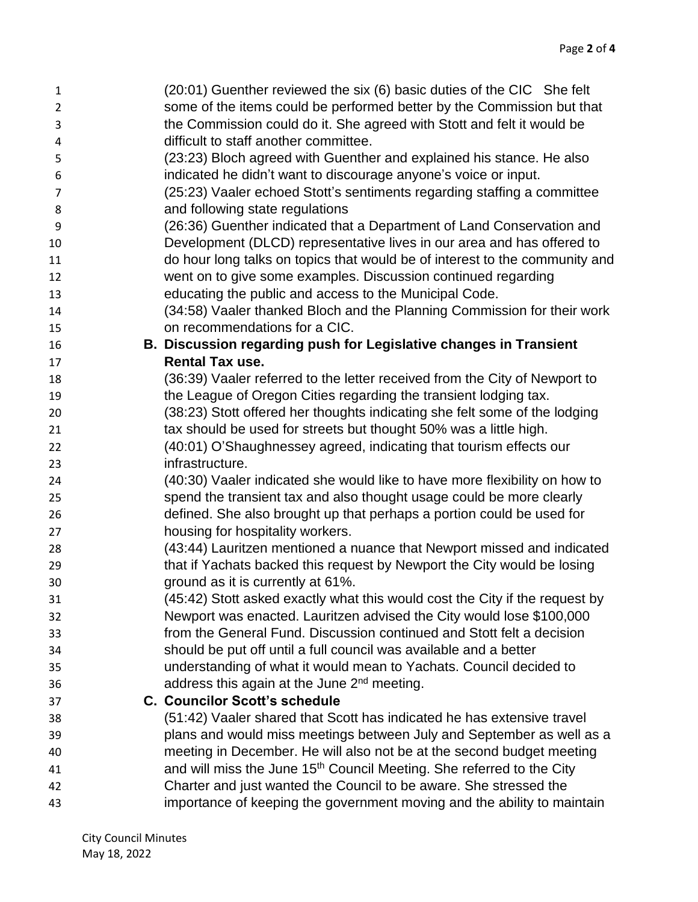| $\mathbf{1}$   | (20:01) Guenther reviewed the six (6) basic duties of the CIC She felt            |
|----------------|-----------------------------------------------------------------------------------|
| $\overline{2}$ | some of the items could be performed better by the Commission but that            |
| 3              | the Commission could do it. She agreed with Stott and felt it would be            |
| 4              | difficult to staff another committee.                                             |
| 5              | (23:23) Bloch agreed with Guenther and explained his stance. He also              |
| 6              | indicated he didn't want to discourage anyone's voice or input.                   |
| 7              | (25:23) Vaaler echoed Stott's sentiments regarding staffing a committee           |
| 8              | and following state regulations                                                   |
| 9              | (26:36) Guenther indicated that a Department of Land Conservation and             |
| 10             | Development (DLCD) representative lives in our area and has offered to            |
| 11             | do hour long talks on topics that would be of interest to the community and       |
| 12             | went on to give some examples. Discussion continued regarding                     |
| 13             | educating the public and access to the Municipal Code.                            |
| 14             | (34:58) Vaaler thanked Bloch and the Planning Commission for their work           |
| 15             | on recommendations for a CIC.                                                     |
| 16             | B. Discussion regarding push for Legislative changes in Transient                 |
| 17             | <b>Rental Tax use.</b>                                                            |
| 18             | (36:39) Vaaler referred to the letter received from the City of Newport to        |
| 19             | the League of Oregon Cities regarding the transient lodging tax.                  |
| 20             | (38:23) Stott offered her thoughts indicating she felt some of the lodging        |
| 21             | tax should be used for streets but thought 50% was a little high.                 |
| 22             | (40:01) O'Shaughnessey agreed, indicating that tourism effects our                |
| 23             | infrastructure.                                                                   |
| 24             | (40:30) Vaaler indicated she would like to have more flexibility on how to        |
| 25             | spend the transient tax and also thought usage could be more clearly              |
| 26             | defined. She also brought up that perhaps a portion could be used for             |
| 27             | housing for hospitality workers.                                                  |
| 28             | (43:44) Lauritzen mentioned a nuance that Newport missed and indicated            |
| 29             | that if Yachats backed this request by Newport the City would be losing           |
| 30             | ground as it is currently at 61%.                                                 |
| 31             | (45:42) Stott asked exactly what this would cost the City if the request by       |
| 32             | Newport was enacted. Lauritzen advised the City would lose \$100,000              |
| 33             | from the General Fund. Discussion continued and Stott felt a decision             |
| 34             | should be put off until a full council was available and a better                 |
| 35             | understanding of what it would mean to Yachats. Council decided to                |
| 36             | address this again at the June 2 <sup>nd</sup> meeting.                           |
| 37             | <b>C. Councilor Scott's schedule</b>                                              |
| 38             | (51:42) Vaaler shared that Scott has indicated he has extensive travel            |
| 39             | plans and would miss meetings between July and September as well as a             |
| 40             | meeting in December. He will also not be at the second budget meeting             |
| 41             | and will miss the June 15 <sup>th</sup> Council Meeting. She referred to the City |
| 42             | Charter and just wanted the Council to be aware. She stressed the                 |
| 43             | importance of keeping the government moving and the ability to maintain           |
|                |                                                                                   |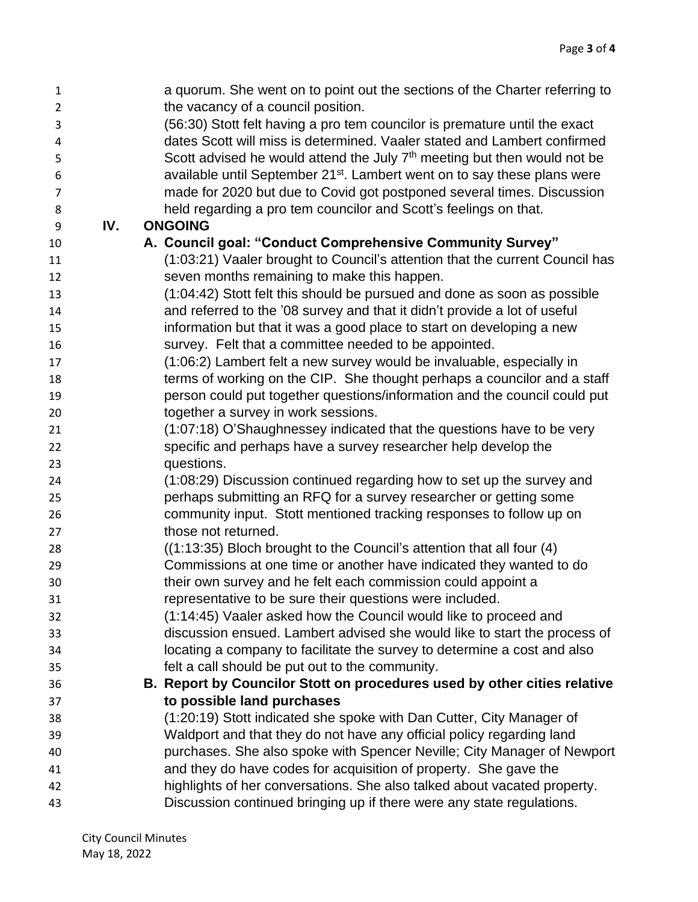| $\mathbf{1}$   |     | a quorum. She went on to point out the sections of the Charter referring to          |
|----------------|-----|--------------------------------------------------------------------------------------|
| $\overline{2}$ |     | the vacancy of a council position.                                                   |
| 3              |     | (56:30) Stott felt having a pro tem councilor is premature until the exact           |
| 4              |     | dates Scott will miss is determined. Vaaler stated and Lambert confirmed             |
| 5              |     | Scott advised he would attend the July 7 <sup>th</sup> meeting but then would not be |
| 6              |     | available until September 21 <sup>st</sup> . Lambert went on to say these plans were |
| $\overline{7}$ |     | made for 2020 but due to Covid got postponed several times. Discussion               |
| 8              |     | held regarding a pro tem councilor and Scott's feelings on that.                     |
| 9              | IV. | <b>ONGOING</b>                                                                       |
| 10             |     | A. Council goal: "Conduct Comprehensive Community Survey"                            |
| 11             |     | (1:03:21) Vaaler brought to Council's attention that the current Council has         |
| 12             |     | seven months remaining to make this happen.                                          |
| 13             |     | (1:04:42) Stott felt this should be pursued and done as soon as possible             |
| 14             |     | and referred to the '08 survey and that it didn't provide a lot of useful            |
| 15             |     | information but that it was a good place to start on developing a new                |
| 16             |     | survey. Felt that a committee needed to be appointed.                                |
| 17             |     | (1:06:2) Lambert felt a new survey would be invaluable, especially in                |
| 18             |     | terms of working on the CIP. She thought perhaps a councilor and a staff             |
| 19             |     | person could put together questions/information and the council could put            |
| 20             |     | together a survey in work sessions.                                                  |
| 21             |     | (1:07:18) O'Shaughnessey indicated that the questions have to be very                |
| 22             |     | specific and perhaps have a survey researcher help develop the                       |
| 23             |     | questions.                                                                           |
| 24             |     | (1:08:29) Discussion continued regarding how to set up the survey and                |
| 25             |     | perhaps submitting an RFQ for a survey researcher or getting some                    |
| 26             |     | community input. Stott mentioned tracking responses to follow up on                  |
| 27             |     | those not returned.                                                                  |
| 28             |     | ((1:13:35) Bloch brought to the Council's attention that all four (4)                |
| 29             |     | Commissions at one time or another have indicated they wanted to do                  |
| 30             |     | their own survey and he felt each commission could appoint a                         |
| 31             |     | representative to be sure their questions were included.                             |
| 32             |     | (1:14:45) Vaaler asked how the Council would like to proceed and                     |
| 33             |     | discussion ensued. Lambert advised she would like to start the process of            |
| 34             |     | locating a company to facilitate the survey to determine a cost and also             |
| 35             |     | felt a call should be put out to the community.                                      |
| 36             |     | B. Report by Councilor Stott on procedures used by other cities relative             |
| 37             |     | to possible land purchases                                                           |
| 38             |     | (1:20:19) Stott indicated she spoke with Dan Cutter, City Manager of                 |
| 39             |     | Waldport and that they do not have any official policy regarding land                |
| 40             |     | purchases. She also spoke with Spencer Neville; City Manager of Newport              |
| 41             |     | and they do have codes for acquisition of property. She gave the                     |
| 42             |     | highlights of her conversations. She also talked about vacated property.             |
| 43             |     | Discussion continued bringing up if there were any state regulations.                |
|                |     |                                                                                      |